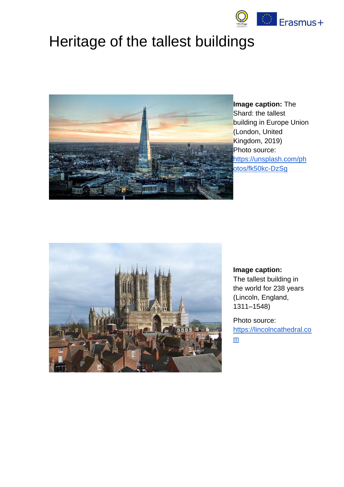

# Heritage of the tallest buildings



**Image caption:** The Shard: the tallest building in Europe Union (London, United Kingdom, 2019) Photo source: [https://unsplash.com/ph](https://unsplash.com/photos/fk50kc-DzSg) [otos/fk50kc-DzSg](https://unsplash.com/photos/fk50kc-DzSg)



#### **Image caption:**

The [tallest building in](https://en.wikipedia.org/wiki/List_of_tallest_buildings_and_structures_in_the_world)  [the world](https://en.wikipedia.org/wiki/List_of_tallest_buildings_and_structures_in_the_world) for 238 years [\(Lincoln,](https://en.wikipedia.org/wiki/Lincoln,_England) England, 1311–1548)

Photo source: [https://lincolncathedral.co](https://lincolncathedral.com/) [m](https://lincolncathedral.com/)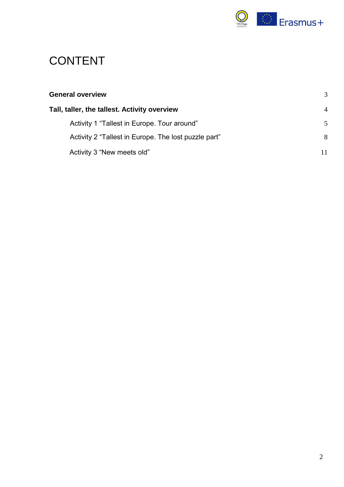

## CONTENT

| <b>General overview</b>                              | 3              |
|------------------------------------------------------|----------------|
| Tall, taller, the tallest. Activity overview         | $\overline{4}$ |
| Activity 1 "Tallest in Europe. Tour around"          | 5              |
| Activity 2 "Tallest in Europe. The lost puzzle part" | 8              |
| Activity 3 "New meets old"                           | 11             |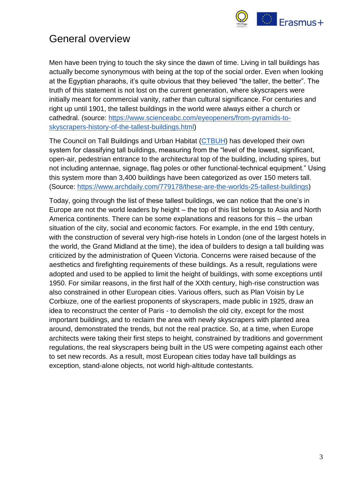

## <span id="page-2-0"></span>General overview

Men have been trying to touch the sky since the dawn of time. Living in tall buildings has actually become synonymous with being at the top of the social order. Even when looking at the Egyptian pharaohs, it's quite obvious that they believed "the taller, the better". The truth of this statement is not lost on the current generation, where skyscrapers were initially meant for commercial vanity, rather than cultural significance. For centuries and right up until 1901, the tallest buildings in the world were always either a church or cathedral. (source[:](https://www.scienceabc.com/eyeopeners/from-pyramids-to-skyscrapers-history-of-the-tallest-buildings.html) [https://www.scienceabc.com/eyeopeners/from-pyramids-to](https://www.scienceabc.com/eyeopeners/from-pyramids-to-skyscrapers-history-of-the-tallest-buildings.html)[skyscrapers-history-of-the-tallest-buildings.html\)](https://www.scienceabc.com/eyeopeners/from-pyramids-to-skyscrapers-history-of-the-tallest-buildings.html)

The Council on Tall Buildings and Urban Habitat [\(CTBUH\)](http://www.archdaily.com/tag/ctbuh) has developed their own system for classifying tall buildings, measuring from the "level of the lowest, significant, open-air, pedestrian entrance to the architectural top of the building, including spires, but not including antennae, signage, flag poles or other functional-technical equipment." Using this system more than 3,400 buildings have been categorized as over 150 meters tall. (Source[:](https://www.archdaily.com/779178/these-are-the-worlds-25-tallest-buildings) [https://www.archdaily.com/779178/these-are-the-worlds-25-tallest-buildings\)](https://www.archdaily.com/779178/these-are-the-worlds-25-tallest-buildings)

Today, going through the list of these tallest buildings, we can notice that the one's in Europe are not the world leaders by height – the top of this list belongs to Asia and North America continents. There can be some explanations and reasons for this – the urban situation of the city, social and economic factors. For example, in the end 19th century, with the construction of several very high-rise hotels in London (one of the largest hotels in the world, the Grand Midland at the time), the idea of builders to design a tall building was criticized by the administration of Queen Victoria. Concerns were raised because of the aesthetics and firefighting requirements of these buildings. As a result, regulations were adopted and used to be applied to limit the height of buildings, with some exceptions until 1950. For similar reasons, in the first half of the XXth century, high-rise construction was also constrained in other European cities. Various offers, such as Plan Voisin by Le Corbiuze, one of the earliest proponents of skyscrapers, made public in 1925, draw an idea to reconstruct the center of Paris - to demolish the old city, except for the most important buildings, and to reclaim the area with newly skyscrapers with planted area around, demonstrated the trends, but not the real practice. So, at a time, when Europe architects were taking their first steps to height, constrained by traditions and government regulations, the real skyscrapers being built in the US were competing against each other to set new records. As a result, most European cities today have tall buildings as exception, stand-alone objects, not world high-altitude contestants.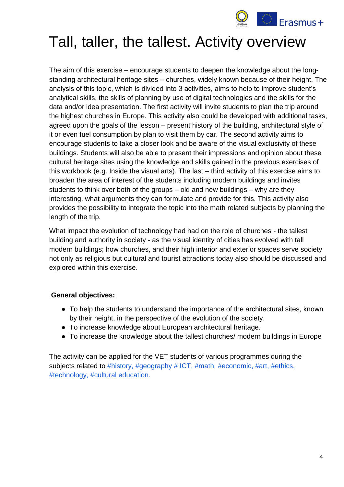

# <span id="page-3-0"></span>Tall, taller, the tallest. Activity overview

The aim of this exercise – encourage students to deepen the knowledge about the longstanding architectural heritage sites – churches, widely known because of their height. The analysis of this topic, which is divided into 3 activities, aims to help to improve student's analytical skills, the skills of planning by use of digital technologies and the skills for the data and/or idea presentation. The first activity will invite students to plan the trip around the highest churches in Europe. This activity also could be developed with additional tasks, agreed upon the goals of the lesson – present history of the building, architectural style of it or even fuel consumption by plan to visit them by car. The second activity aims to encourage students to take a closer look and be aware of the visual exclusivity of these buildings. Students will also be able to present their impressions and opinion about these cultural heritage sites using the knowledge and skills gained in the previous exercises of this workbook (e.g. Inside the visual arts). The last – third activity of this exercise aims to broaden the area of interest of the students including modern buildings and invites students to think over both of the groups – old and new buildings – why are they interesting, what arguments they can formulate and provide for this. This activity also provides the possibility to integrate the topic into the math related subjects by planning the length of the trip.

What impact the evolution of technology had had on the role of churches - the tallest building and authority in society - as the visual identity of cities has evolved with tall modern buildings; how churches, and their high interior and exterior spaces serve society not only as religious but cultural and tourist attractions today also should be discussed and explored within this exercise.

#### **General objectives:**

- To help the students to understand the importance of the architectural sites, known by their height, in the perspective of the evolution of the society.
- To increase knowledge about European architectural heritage.
- To increase the knowledge about the tallest churches/ modern buildings in Europe

The activity can be applied for the VET students of various programmes during the subjects related to #history, #geography # ICT, #math, #economic, #art, #ethics, #technology, #cultural education.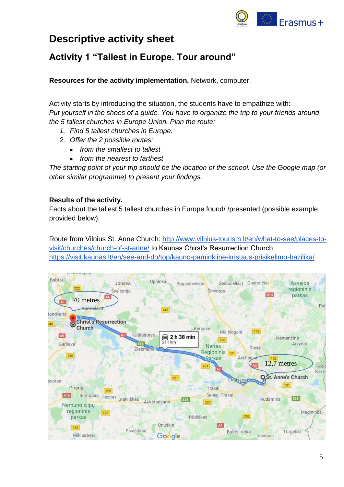

## **Descriptive activity sheet**

### <span id="page-4-0"></span>**Activity 1 "Tallest in Europe. Tour around"**

**Resources for the activity implementation.** Network, computer.

Activity starts by introducing the situation, the students have to empathize with: *Put yourself in the shoes of a guide. You have to organize the trip to your friends around the 5 tallest churches in Europe Union. Plan the route:*

- *1. Find 5 tallest churches in Europe.*
- *2. Offer the 2 possible routes:*
	- *from the smallest to tallest*
	- *from the nearest to farthest*

*The starting point of your trip should be the location of the school. Use the Google map (or other similar programme) to present your findings.*

#### **Results of the activity.**

Facts about the tallest 5 tallest churches in Europe found/ /presented (possible example provided below).

Route from Vilnius St. Anne Church: [http://www.vilnius-tourism.lt/en/what-to-see/places-to](http://www.vilnius-tourism.lt/en/what-to-see/places-to-visit/churches/church-of-st-anne/)[visit/churches/church-of-st-anne/](http://www.vilnius-tourism.lt/en/what-to-see/places-to-visit/churches/church-of-st-anne/) to Kaunas Chirst's Resurrection Church: <https://visit.kaunas.lt/en/see-and-do/top/kauno-paminkline-kristaus-prisikelimo-bazilika/>

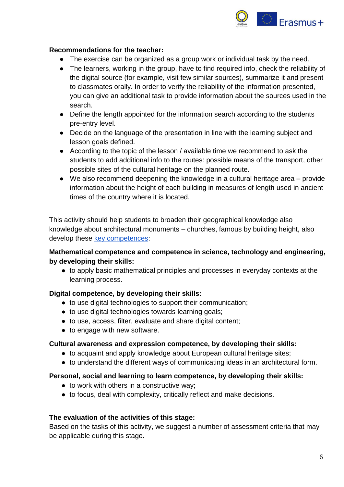

#### **Recommendations for the teacher:**

- The exercise can be organized as a group work or individual task by the need.
- The learners, working in the group, have to find required info, check the reliability of the digital source (for example, visit few similar sources), summarize it and present to classmates orally. In order to verify the reliability of the information presented, you can give an additional task to provide information about the sources used in the search.
- Define the length appointed for the information search according to the students pre-entry level.
- Decide on the language of the presentation in line with the learning subject and lesson goals defined.
- According to the topic of the lesson / available time we recommend to ask the students to add additional info to the routes: possible means of the transport, other possible sites of the cultural heritage on the planned route.
- We also recommend deepening the knowledge in a cultural heritage area provide information about the height of each building in measures of length used in ancient times of the country where it is located.

This activity should help students to broaden their geographical knowledge also knowledge about architectural monuments – churches, famous by building height, also develop these [key competences:](https://eur-lex.europa.eu/legal-content/EN/TXT/?uri=uriserv:OJ.C_.2018.189.01.0001.01.ENG)

#### **Mathematical competence and competence in science, technology and engineering, by developing their skills:**

● to apply basic mathematical principles and processes in everyday contexts at the learning process.

#### **Digital competence, by developing their skills:**

- to use digital technologies to support their communication;
- to use digital technologies towards learning goals;
- to use, access, filter, evaluate and share digital content;
- to engage with new software.

#### **Cultural awareness and expression competence, by developing their skills:**

- to acquaint and apply knowledge about European cultural heritage sites;
- to understand the different ways of communicating ideas in an architectural form.

#### **Personal, social and learning to learn competence, by developing their skills:**

- to work with others in a constructive way;
- to focus, deal with complexity, critically reflect and make decisions.

#### **The evaluation of the activities of this stage:**

Based on the tasks of this activity, we suggest a number of assessment criteria that may be applicable during this stage.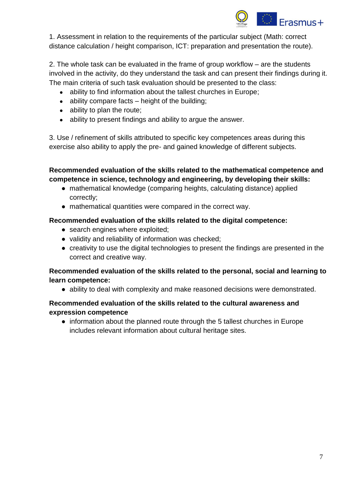

1. Assessment in relation to the requirements of the particular subject (Math: correct distance calculation / height comparison, ICT: preparation and presentation the route).

2. The whole task can be evaluated in the frame of group workflow – are the students involved in the activity, do they understand the task and can present their findings during it. The main criteria of such task evaluation should be presented to the class:

- ability to find information about the tallest churches in Europe;
- $\bullet$  ability compare facts height of the building;
- $\bullet$  ability to plan the route;
- ability to present findings and ability to argue the answer.

3. Use / refinement of skills attributed to specific key competences areas during this exercise also ability to apply the pre- and gained knowledge of different subjects.

**Recommended evaluation of the skills related to the mathematical competence and competence in science, technology and engineering, by developing their skills:**

- mathematical knowledge (comparing heights, calculating distance) applied correctly;
- mathematical quantities were compared in the correct way.

#### **Recommended evaluation of the skills related to the digital competence:**

- search engines where exploited;
- validity and reliability of information was checked;
- creativity to use the digital technologies to present the findings are presented in the correct and creative way.

#### **Recommended evaluation of the skills related to the personal, social and learning to learn competence:**

● ability to deal with complexity and make reasoned decisions were demonstrated.

#### **Recommended evaluation of the skills related to the cultural awareness and expression competence**

• information about the planned route through the 5 tallest churches in Europe includes relevant information about cultural heritage sites.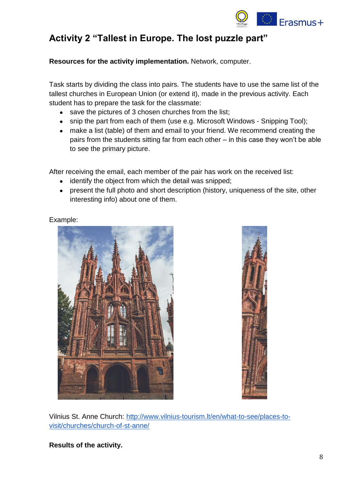

### <span id="page-7-0"></span>**Activity 2 "Tallest in Europe. The lost puzzle part"**

**Resources for the activity implementation.** Network, computer.

Task starts by dividing the class into pairs. The students have to use the same list of the tallest churches in European Union (or extend it), made in the previous activity. Each student has to prepare the task for the classmate:

- save the pictures of 3 chosen churches from the list;
- snip the part from each of them (use e.g. Microsoft Windows Snipping Tool);
- make a list (table) of them and email to your friend. We recommend creating the pairs from the students sitting far from each other – in this case they won't be able to see the primary picture.

After receiving the email, each member of the pair has work on the received list:

- identify the object from which the detail was snipped;
- present the full photo and short description (history, uniqueness of the site, other interesting info) about one of them.







Vilnius St. Anne Church: [http://www.vilnius-tourism.lt/en/what-to-see/places-to](http://www.vilnius-tourism.lt/en/what-to-see/places-to-visit/churches/church-of-st-anne/)[visit/churches/church-of-st-anne/](http://www.vilnius-tourism.lt/en/what-to-see/places-to-visit/churches/church-of-st-anne/)

**Results of the activity.**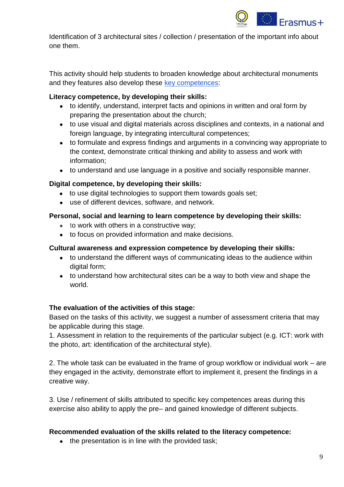

Identification of 3 architectural sites / collection / presentation of the important info about one them.

This activity should help students to broaden knowledge about architectural monuments and they features also develop these [key competences:](https://eur-lex.europa.eu/legal-content/EN/TXT/?uri=uriserv:OJ.C_.2018.189.01.0001.01.ENG)

#### **Literacy competence, by developing their skills:**

- to identify, understand, interpret facts and opinions in written and oral form by preparing the presentation about the church;
- to use visual and digital materials across disciplines and contexts, in a national and foreign language, by integrating intercultural competences;
- to formulate and express findings and arguments in a convincing way appropriate to the context, demonstrate critical thinking and ability to assess and work with information;
- to understand and use language in a positive and socially responsible manner.

#### **Digital competence, by developing their skills:**

- to use digital technologies to support them towards goals set;
- use of different devices, software, and network.

#### **Personal, social and learning to learn competence by developing their skills:**

- to work with others in a constructive way;
- to focus on provided information and make decisions.

#### **Cultural awareness and expression competence by developing their skills:**

- to understand the different ways of communicating ideas to the audience within digital form;
- to understand how architectural sites can be a way to both view and shape the world.

#### **The evaluation of the activities of this stage:**

Based on the tasks of this activity, we suggest a number of assessment criteria that may be applicable during this stage.

1. Assessment in relation to the requirements of the particular subject (e.g. ICT: work with the photo, art: identification of the architectural style).

2. The whole task can be evaluated in the frame of group workflow or individual work – are they engaged in the activity, demonstrate effort to implement it, present the findings in a creative way.

3. Use / refinement of skills attributed to specific key competences areas during this exercise also ability to apply the pre– and gained knowledge of different subjects.

#### **Recommended evaluation of the skills related to the literacy competence:**

• the presentation is in line with the provided task;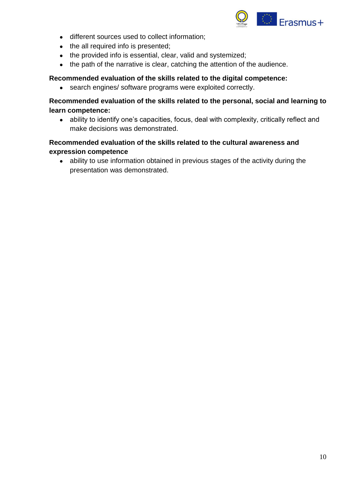

- different sources used to collect information;
- the all required info is presented;
- the provided info is essential, clear, valid and systemized;
- the path of the narrative is clear, catching the attention of the audience.

#### **Recommended evaluation of the skills related to the digital competence:**

• search engines/ software programs were exploited correctly.

#### **Recommended evaluation of the skills related to the personal, social and learning to learn competence:**

● ability to identify one's capacities, focus, deal with complexity, critically reflect and make decisions was demonstrated.

#### **Recommended evaluation of the skills related to the cultural awareness and expression competence**

● ability to use information obtained in previous stages of the activity during the presentation was demonstrated.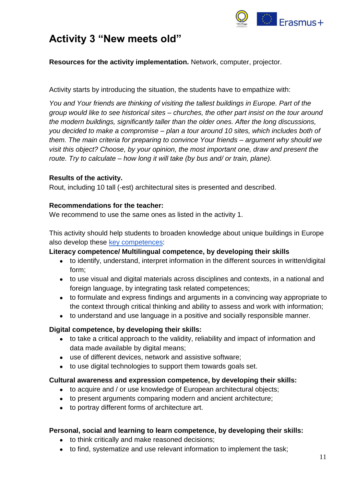

## <span id="page-10-0"></span>**Activity 3 "New meets old"**

**Resources for the activity implementation.** Network, computer, projector.

Activity starts by introducing the situation, the students have to empathize with:

*You and Your friends are thinking of visiting the tallest buildings in Europe. Part of the group would like to see historical sites – churches, the other part insist on the tour around the modern buildings, significantly taller than the older ones. After the long discussions, you decided to make a compromise – plan a tour around 10 sites, which includes both of them. The main criteria for preparing to convince Your friends – argument why should we visit this object? Choose, by your opinion, the most important one, draw and present the route. Try to calculate – how long it will take (by bus and/ or train, plane).*

#### **Results of the activity.**

Rout, including 10 tall (-est) architectural sites is presented and described.

#### **Recommendations for the teacher:**

We recommend to use the same ones as listed in the activity 1.

This activity should help students to broaden knowledge about unique buildings in Europe also develop these [key competences:](https://eur-lex.europa.eu/legal-content/EN/TXT/?uri=uriserv:OJ.C_.2018.189.01.0001.01.ENG)

#### **Literacy competence/ Multilingual competence, by developing their skills**

- to identify, understand, interpret information in the different sources in written/digital form;
- to use visual and digital materials across disciplines and contexts, in a national and foreign language, by integrating task related competences;
- to formulate and express findings and arguments in a convincing way appropriate to the context through critical thinking and ability to assess and work with information;
- to understand and use language in a positive and socially responsible manner.

#### **Digital competence, by developing their skills:**

- to take a critical approach to the validity, reliability and impact of information and data made available by digital means;
- use of different devices, network and assistive software;
- to use digital technologies to support them towards goals set.

#### **Cultural awareness and expression competence, by developing their skills:**

- to acquire and / or use knowledge of European architectural objects;
- to present arguments comparing modern and ancient architecture;
- to portray different forms of architecture art.

#### **Personal, social and learning to learn competence, by developing their skills:**

- to think critically and make reasoned decisions;
- to find, systematize and use relevant information to implement the task;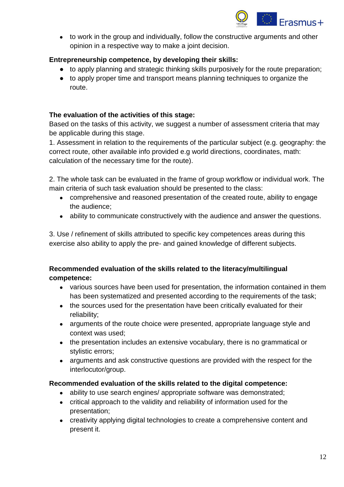

• to work in the group and individually, follow the constructive arguments and other opinion in a respective way to make a joint decision.

#### **Entrepreneurship competence, by developing their skills:**

- to apply planning and strategic thinking skills purposively for the route preparation;
- to apply proper time and transport means planning techniques to organize the route.

#### **The evaluation of the activities of this stage:**

Based on the tasks of this activity, we suggest a number of assessment criteria that may be applicable during this stage.

1. Assessment in relation to the requirements of the particular subject (e.g. geography: the correct route, other available info provided e.g world directions, coordinates, math: calculation of the necessary time for the route).

2. The whole task can be evaluated in the frame of group workflow or individual work. The main criteria of such task evaluation should be presented to the class:

- comprehensive and reasoned presentation of the created route, ability to engage the audience;
- ability to communicate constructively with the audience and answer the questions.

3. Use / refinement of skills attributed to specific key competences areas during this exercise also ability to apply the pre- and gained knowledge of different subjects.

#### **Recommended evaluation of the skills related to the literacy/multilingual competence:**

- various sources have been used for presentation, the information contained in them has been systematized and presented according to the requirements of the task;
- the sources used for the presentation have been critically evaluated for their reliability;
- arguments of the route choice were presented, appropriate language style and context was used;
- the presentation includes an extensive vocabulary, there is no grammatical or stylistic errors;
- arguments and ask constructive questions are provided with the respect for the interlocutor/group.

#### **Recommended evaluation of the skills related to the digital competence:**

- ability to use search engines/ appropriate software was demonstrated;
- critical approach to the validity and reliability of information used for the presentation;
- creativity applying digital technologies to create a comprehensive content and present it.